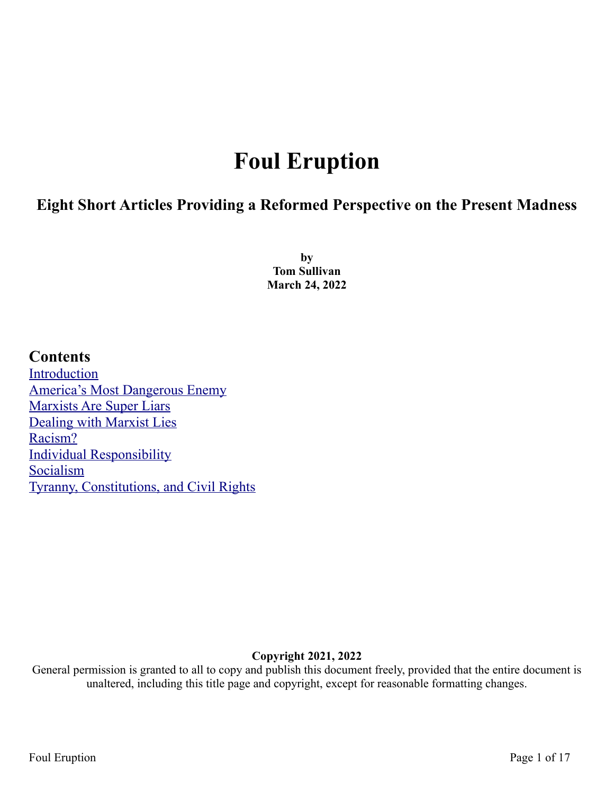# **Foul Eruption**

# **Eight Short Articles Providing a Reformed Perspective on the Present Madness**

**by Tom Sullivan March 24, 2022**

# **Contents**

[Introduction](#page-1-0) [America's Most Dangerous Enemy](#page-3-0) [Marxists Are Super Liars](#page-5-0) [Dealing with Marxist Lies](#page-7-0) [Racism?](#page-9-0) [Individual Responsibility](#page-11-0) [Socialism](#page-13-0) [Tyranny, Constitutions, and Civil Rights](#page-15-0)

#### **Copyright 2021, 2022**

General permission is granted to all to copy and publish this document freely, provided that the entire document is unaltered, including this title page and copyright, except for reasonable formatting changes.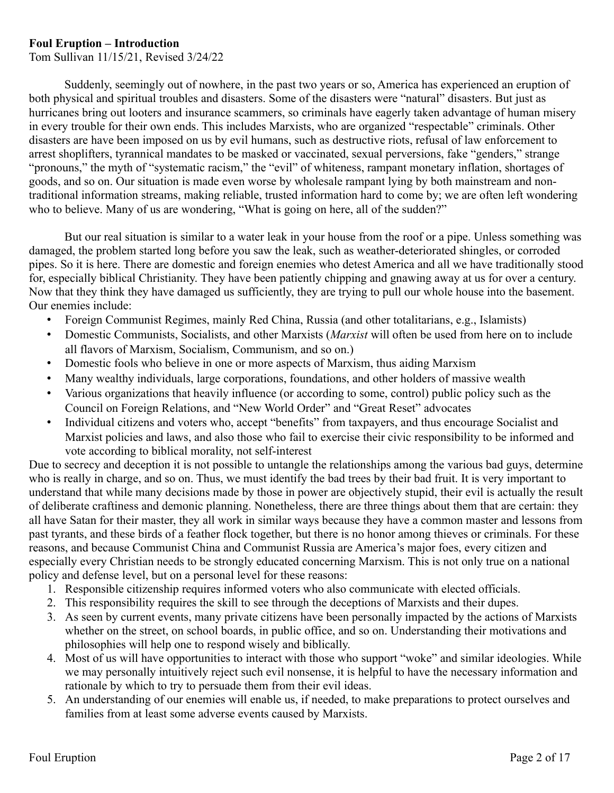# <span id="page-1-0"></span>**Foul Eruption – Introduction**

Tom Sullivan 11/15/21, Revised 3/24/22

Suddenly, seemingly out of nowhere, in the past two years or so, America has experienced an eruption of both physical and spiritual troubles and disasters. Some of the disasters were "natural" disasters. But just as hurricanes bring out looters and insurance scammers, so criminals have eagerly taken advantage of human misery in every trouble for their own ends. This includes Marxists, who are organized "respectable" criminals. Other disasters are have been imposed on us by evil humans, such as destructive riots, refusal of law enforcement to arrest shoplifters, tyrannical mandates to be masked or vaccinated, sexual perversions, fake "genders," strange "pronouns," the myth of "systematic racism," the "evil" of whiteness, rampant monetary inflation, shortages of goods, and so on. Our situation is made even worse by wholesale rampant lying by both mainstream and nontraditional information streams, making reliable, trusted information hard to come by; we are often left wondering who to believe. Many of us are wondering, "What is going on here, all of the sudden?"

But our real situation is similar to a water leak in your house from the roof or a pipe. Unless something was damaged, the problem started long before you saw the leak, such as weather-deteriorated shingles, or corroded pipes. So it is here. There are domestic and foreign enemies who detest America and all we have traditionally stood for, especially biblical Christianity. They have been patiently chipping and gnawing away at us for over a century. Now that they think they have damaged us sufficiently, they are trying to pull our whole house into the basement. Our enemies include:

- Foreign Communist Regimes, mainly Red China, Russia (and other totalitarians, e.g., Islamists)
- Domestic Communists, Socialists, and other Marxists (*Marxist* will often be used from here on to include all flavors of Marxism, Socialism, Communism, and so on.)
- Domestic fools who believe in one or more aspects of Marxism, thus aiding Marxism
- Many wealthy individuals, large corporations, foundations, and other holders of massive wealth
- Various organizations that heavily influence (or according to some, control) public policy such as the Council on Foreign Relations, and "New World Order" and "Great Reset" advocates
- Individual citizens and voters who, accept "benefits" from taxpayers, and thus encourage Socialist and Marxist policies and laws, and also those who fail to exercise their civic responsibility to be informed and vote according to biblical morality, not self-interest

Due to secrecy and deception it is not possible to untangle the relationships among the various bad guys, determine who is really in charge, and so on. Thus, we must identify the bad trees by their bad fruit. It is very important to understand that while many decisions made by those in power are objectively stupid, their evil is actually the result of deliberate craftiness and demonic planning. Nonetheless, there are three things about them that are certain: they all have Satan for their master, they all work in similar ways because they have a common master and lessons from past tyrants, and these birds of a feather flock together, but there is no honor among thieves or criminals. For these reasons, and because Communist China and Communist Russia are America's major foes, every citizen and especially every Christian needs to be strongly educated concerning Marxism. This is not only true on a national policy and defense level, but on a personal level for these reasons:

- 1. Responsible citizenship requires informed voters who also communicate with elected officials.
- 2. This responsibility requires the skill to see through the deceptions of Marxists and their dupes.
- 3. As seen by current events, many private citizens have been personally impacted by the actions of Marxists whether on the street, on school boards, in public office, and so on. Understanding their motivations and philosophies will help one to respond wisely and biblically.
- 4. Most of us will have opportunities to interact with those who support "woke" and similar ideologies. While we may personally intuitively reject such evil nonsense, it is helpful to have the necessary information and rationale by which to try to persuade them from their evil ideas.
- 5. An understanding of our enemies will enable us, if needed, to make preparations to protect ourselves and families from at least some adverse events caused by Marxists.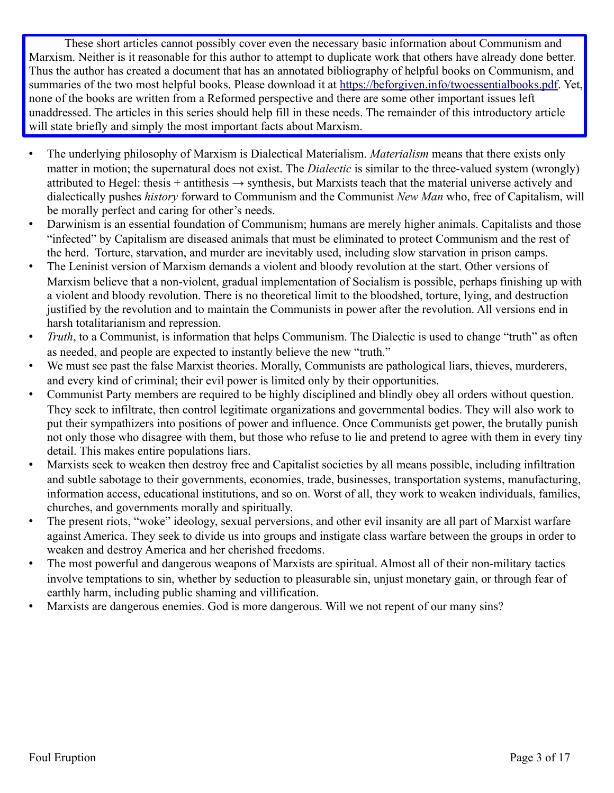These short articles cannot possibly cover even the necessary basic information about Communism and Marxism. Neither is it reasonable for this author to attempt to duplicate work that others have already done better. Thus the author has created a document that has an annotated bibliography of helpful books on Communism, and summaries of the two most helpful books. Please download it at [https://beforgiven.info/twoessentialbooks.pdf.](https://beforgiven.info/twoessentialbooks.pdf) Yet, none of the books are written from a Reformed perspective and there are some other important issues left unaddressed. The articles in this series should help fill in these needs. The remainder of this introductory article will state briefly and simply the most important facts about Marxism.

- The underlying philosophy of Marxism is Dialectical Materialism. *Materialism* means that there exists only matter in motion; the supernatural does not exist. The *Dialectic* is similar to the three-valued system (wrongly) attributed to Hegel: thesis + antithesis  $\rightarrow$  synthesis, but Marxists teach that the material universe actively and dialectically pushes *history* forward to Communism and the Communist *New Man* who, free of Capitalism, will be morally perfect and caring for other's needs.
- Darwinism is an essential foundation of Communism; humans are merely higher animals. Capitalists and those "infected" by Capitalism are diseased animals that must be eliminated to protect Communism and the rest of the herd. Torture, starvation, and murder are inevitably used, including slow starvation in prison camps.
- The Leninist version of Marxism demands a violent and bloody revolution at the start. Other versions of Marxism believe that a non-violent, gradual implementation of Socialism is possible, perhaps finishing up with a violent and bloody revolution. There is no theoretical limit to the bloodshed, torture, lying, and destruction justified by the revolution and to maintain the Communists in power after the revolution. All versions end in harsh totalitarianism and repression.
- *Truth*, to a Communist, is information that helps Communism. The Dialectic is used to change "truth" as often as needed, and people are expected to instantly believe the new "truth."
- We must see past the false Marxist theories. Morally, Communists are pathological liars, thieves, murderers, and every kind of criminal; their evil power is limited only by their opportunities.
- Communist Party members are required to be highly disciplined and blindly obey all orders without question. They seek to infiltrate, then control legitimate organizations and governmental bodies. They will also work to put their sympathizers into positions of power and influence. Once Communists get power, the brutally punish not only those who disagree with them, but those who refuse to lie and pretend to agree with them in every tiny detail. This makes entire populations liars.
- Marxists seek to weaken then destroy free and Capitalist societies by all means possible, including infiltration and subtle sabotage to their governments, economies, trade, businesses, transportation systems, manufacturing, information access, educational institutions, and so on. Worst of all, they work to weaken individuals, families, churches, and governments morally and spiritually.
- The present riots, "woke" ideology, sexual perversions, and other evil insanity are all part of Marxist warfare against America. They seek to divide us into groups and instigate class warfare between the groups in order to weaken and destroy America and her cherished freedoms.
- The most powerful and dangerous weapons of Marxists are spiritual. Almost all of their non-military tactics involve temptations to sin, whether by seduction to pleasurable sin, unjust monetary gain, or through fear of earthly harm, including public shaming and villification.
- Marxists are dangerous enemies. God is more dangerous. Will we not repent of our many sins?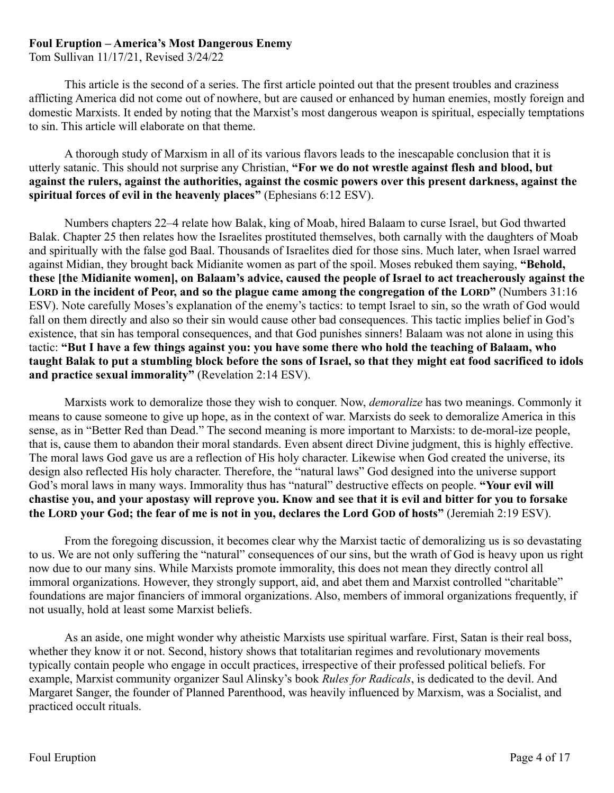#### <span id="page-3-0"></span>**Foul Eruption – America's Most Dangerous Enemy**

Tom Sullivan 11/17/21, Revised 3/24/22

This article is the second of a series. The first article pointed out that the present troubles and craziness afflicting America did not come out of nowhere, but are caused or enhanced by human enemies, mostly foreign and domestic Marxists. It ended by noting that the Marxist's most dangerous weapon is spiritual, especially temptations to sin. This article will elaborate on that theme.

A thorough study of Marxism in all of its various flavors leads to the inescapable conclusion that it is utterly satanic. This should not surprise any Christian, **"For we do not wrestle against flesh and blood, but against the rulers, against the authorities, against the cosmic powers over this present darkness, against the spiritual forces of evil in the heavenly places"** (Ephesians 6:12 ESV).

Numbers chapters 22–4 relate how Balak, king of Moab, hired Balaam to curse Israel, but God thwarted Balak. Chapter 25 then relates how the Israelites prostituted themselves, both carnally with the daughters of Moab and spiritually with the false god Baal. Thousands of Israelites died for those sins. Much later, when Israel warred against Midian, they brought back Midianite women as part of the spoil. Moses rebuked them saying, **"Behold, these [the Midianite women], on Balaam's advice, caused the people of Israel to act treacherously against the LORD in the incident of Peor, and so the plague came among the congregation of the LORD"** (Numbers 31:16 ESV). Note carefully Moses's explanation of the enemy's tactics: to tempt Israel to sin, so the wrath of God would fall on them directly and also so their sin would cause other bad consequences. This tactic implies belief in God's existence, that sin has temporal consequences, and that God punishes sinners! Balaam was not alone in using this tactic: **"But I have a few things against you: you have some there who hold the teaching of Balaam, who taught Balak to put a stumbling block before the sons of Israel, so that they might eat food sacrificed to idols and practice sexual immorality"** (Revelation 2:14 ESV).

Marxists work to demoralize those they wish to conquer. Now, *demoralize* has two meanings. Commonly it means to cause someone to give up hope, as in the context of war. Marxists do seek to demoralize America in this sense, as in "Better Red than Dead." The second meaning is more important to Marxists: to de-moral-ize people, that is, cause them to abandon their moral standards. Even absent direct Divine judgment, this is highly effective. The moral laws God gave us are a reflection of His holy character. Likewise when God created the universe, its design also reflected His holy character. Therefore, the "natural laws" God designed into the universe support God's moral laws in many ways. Immorality thus has "natural" destructive effects on people. **"Your evil will chastise you, and your apostasy will reprove you. Know and see that it is evil and bitter for you to forsake the LORD your God; the fear of me is not in you, declares the Lord GOD of hosts"** (Jeremiah 2:19 ESV).

From the foregoing discussion, it becomes clear why the Marxist tactic of demoralizing us is so devastating to us. We are not only suffering the "natural" consequences of our sins, but the wrath of God is heavy upon us right now due to our many sins. While Marxists promote immorality, this does not mean they directly control all immoral organizations. However, they strongly support, aid, and abet them and Marxist controlled "charitable" foundations are major financiers of immoral organizations. Also, members of immoral organizations frequently, if not usually, hold at least some Marxist beliefs.

As an aside, one might wonder why atheistic Marxists use spiritual warfare. First, Satan is their real boss, whether they know it or not. Second, history shows that totalitarian regimes and revolutionary movements typically contain people who engage in occult practices, irrespective of their professed political beliefs. For example, Marxist community organizer Saul Alinsky's book *Rules for Radicals*, is dedicated to the devil. And Margaret Sanger, the founder of Planned Parenthood, was heavily influenced by Marxism, was a Socialist, and practiced occult rituals.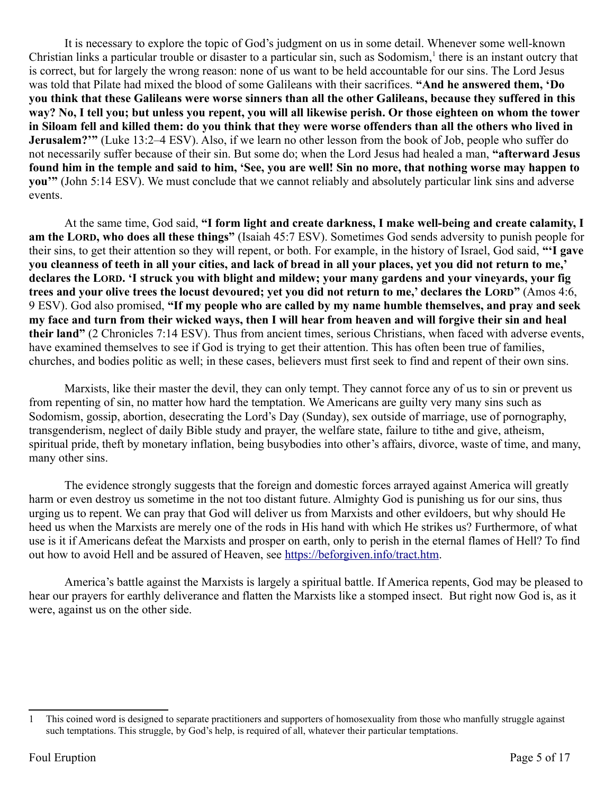It is necessary to explore the topic of God's judgment on us in some detail. Whenever some well-known Christian links a particular trouble or disaster to a particular sin, such as Sodomism,<sup>[1](#page-4-0)</sup> there is an instant outcry that is correct, but for largely the wrong reason: none of us want to be held accountable for our sins. The Lord Jesus was told that Pilate had mixed the blood of some Galileans with their sacrifices. **"And he answered them, 'Do you think that these Galileans were worse sinners than all the other Galileans, because they suffered in this way? No, I tell you; but unless you repent, you will all likewise perish. Or those eighteen on whom the tower in Siloam fell and killed them: do you think that they were worse offenders than all the others who lived in Jerusalem?'"** (Luke 13:2–4 ESV). Also, if we learn no other lesson from the book of Job, people who suffer do not necessarily suffer because of their sin. But some do; when the Lord Jesus had healed a man, **"afterward Jesus found him in the temple and said to him, 'See, you are well! Sin no more, that nothing worse may happen to you'"** (John 5:14 ESV). We must conclude that we cannot reliably and absolutely particular link sins and adverse events.

At the same time, God said, **"I form light and create darkness, I make well-being and create calamity, I am the LORD, who does all these things"** (Isaiah 45:7 ESV). Sometimes God sends adversity to punish people for their sins, to get their attention so they will repent, or both. For example, in the history of Israel, God said, **"'I gave you cleanness of teeth in all your cities, and lack of bread in all your places, yet you did not return to me,' declares the LORD. 'I struck you with blight and mildew; your many gardens and your vineyards, your fig trees and your olive trees the locust devoured; yet you did not return to me,' declares the LORD"** (Amos 4:6, 9 ESV). God also promised, **"If my people who are called by my name humble themselves, and pray and seek my face and turn from their wicked ways, then I will hear from heaven and will forgive their sin and heal their land"** (2 Chronicles 7:14 ESV). Thus from ancient times, serious Christians, when faced with adverse events, have examined themselves to see if God is trying to get their attention. This has often been true of families, churches, and bodies politic as well; in these cases, believers must first seek to find and repent of their own sins.

Marxists, like their master the devil, they can only tempt. They cannot force any of us to sin or prevent us from repenting of sin, no matter how hard the temptation. We Americans are guilty very many sins such as Sodomism, gossip, abortion, desecrating the Lord's Day (Sunday), sex outside of marriage, use of pornography, transgenderism, neglect of daily Bible study and prayer, the welfare state, failure to tithe and give, atheism, spiritual pride, theft by monetary inflation, being busybodies into other's affairs, divorce, waste of time, and many, many other sins.

The evidence strongly suggests that the foreign and domestic forces arrayed against America will greatly harm or even destroy us sometime in the not too distant future. Almighty God is punishing us for our sins, thus urging us to repent. We can pray that God will deliver us from Marxists and other evildoers, but why should He heed us when the Marxists are merely one of the rods in His hand with which He strikes us? Furthermore, of what use is it if Americans defeat the Marxists and prosper on earth, only to perish in the eternal flames of Hell? To find out how to avoid Hell and be assured of Heaven, see [https://beforgiven.info/tract.htm.](https://beforgiven.info/tract.htm)

America's battle against the Marxists is largely a spiritual battle. If America repents, God may be pleased to hear our prayers for earthly deliverance and flatten the Marxists like a stomped insect. But right now God is, as it were, against us on the other side.

<span id="page-4-0"></span><sup>1</sup> This coined word is designed to separate practitioners and supporters of homosexuality from those who manfully struggle against such temptations. This struggle, by God's help, is required of all, whatever their particular temptations.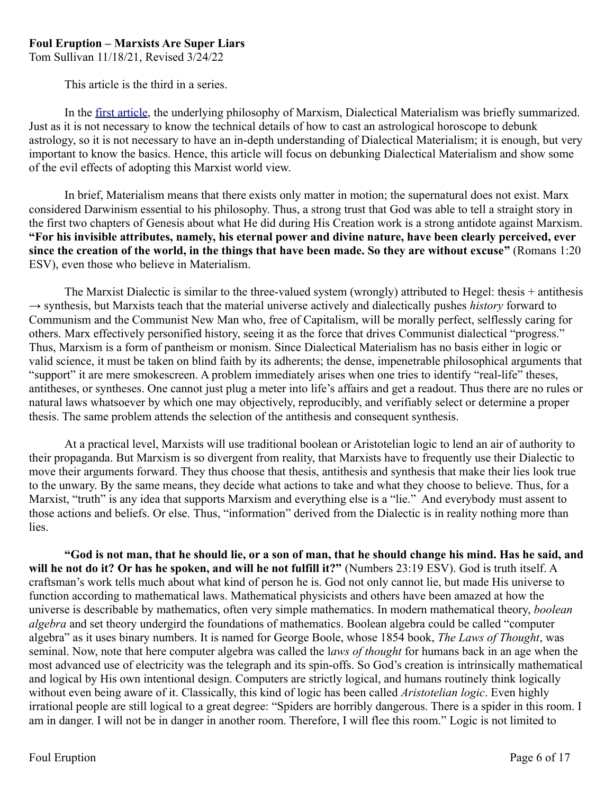### <span id="page-5-0"></span>**Foul Eruption – Marxists Are Super Liars**

Tom Sullivan 11/18/21, Revised 3/24/22

This article is the third in a series.

In the [first article](#page-1-0), the underlying philosophy of Marxism, Dialectical Materialism was briefly summarized. Just as it is not necessary to know the technical details of how to cast an astrological horoscope to debunk astrology, so it is not necessary to have an in-depth understanding of Dialectical Materialism; it is enough, but very important to know the basics. Hence, this article will focus on debunking Dialectical Materialism and show some of the evil effects of adopting this Marxist world view.

In brief, Materialism means that there exists only matter in motion; the supernatural does not exist. Marx considered Darwinism essential to his philosophy. Thus, a strong trust that God was able to tell a straight story in the first two chapters of Genesis about what He did during His Creation work is a strong antidote against Marxism. **"For his invisible attributes, namely, his eternal power and divine nature, have been clearly perceived, ever since the creation of the world, in the things that have been made. So they are without excuse"** (Romans 1:20 ESV), even those who believe in Materialism.

The Marxist Dialectic is similar to the three-valued system (wrongly) attributed to Hegel: thesis + antithesis → synthesis, but Marxists teach that the material universe actively and dialectically pushes *history* forward to Communism and the Communist New Man who, free of Capitalism, will be morally perfect, selflessly caring for others. Marx effectively personified history, seeing it as the force that drives Communist dialectical "progress." Thus, Marxism is a form of pantheism or monism. Since Dialectical Materialism has no basis either in logic or valid science, it must be taken on blind faith by its adherents; the dense, impenetrable philosophical arguments that "support" it are mere smokescreen. A problem immediately arises when one tries to identify "real-life" theses, antitheses, or syntheses. One cannot just plug a meter into life's affairs and get a readout. Thus there are no rules or natural laws whatsoever by which one may objectively, reproducibly, and verifiably select or determine a proper thesis. The same problem attends the selection of the antithesis and consequent synthesis.

At a practical level, Marxists will use traditional boolean or Aristotelian logic to lend an air of authority to their propaganda. But Marxism is so divergent from reality, that Marxists have to frequently use their Dialectic to move their arguments forward. They thus choose that thesis, antithesis and synthesis that make their lies look true to the unwary. By the same means, they decide what actions to take and what they choose to believe. Thus, for a Marxist, "truth" is any idea that supports Marxism and everything else is a "lie." And everybody must assent to those actions and beliefs. Or else. Thus, "information" derived from the Dialectic is in reality nothing more than **lies** 

**"God is not man, that he should lie, or a son of man, that he should change his mind. Has he said, and will he not do it? Or has he spoken, and will he not fulfill it?"** (Numbers 23:19 ESV). God is truth itself. A craftsman's work tells much about what kind of person he is. God not only cannot lie, but made His universe to function according to mathematical laws. Mathematical physicists and others have been amazed at how the universe is describable by mathematics, often very simple mathematics. In modern mathematical theory, *boolean algebra* and set theory undergird the foundations of mathematics. Boolean algebra could be called "computer algebra" as it uses binary numbers. It is named for George Boole, whose 1854 book, *The Laws of Thought*, was seminal. Now, note that here computer algebra was called the l*aws of thought* for humans back in an age when the most advanced use of electricity was the telegraph and its spin-offs. So God's creation is intrinsically mathematical and logical by His own intentional design. Computers are strictly logical, and humans routinely think logically without even being aware of it. Classically, this kind of logic has been called *Aristotelian logic*. Even highly irrational people are still logical to a great degree: "Spiders are horribly dangerous. There is a spider in this room. I am in danger. I will not be in danger in another room. Therefore, I will flee this room." Logic is not limited to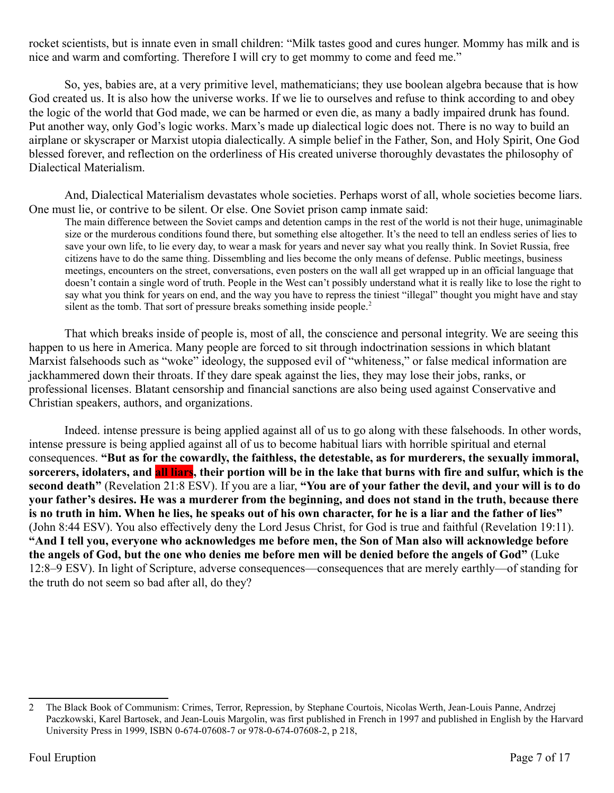rocket scientists, but is innate even in small children: "Milk tastes good and cures hunger. Mommy has milk and is nice and warm and comforting. Therefore I will cry to get mommy to come and feed me."

So, yes, babies are, at a very primitive level, mathematicians; they use boolean algebra because that is how God created us. It is also how the universe works. If we lie to ourselves and refuse to think according to and obey the logic of the world that God made, we can be harmed or even die, as many a badly impaired drunk has found. Put another way, only God's logic works. Marx's made up dialectical logic does not. There is no way to build an airplane or skyscraper or Marxist utopia dialectically. A simple belief in the Father, Son, and Holy Spirit, One God blessed forever, and reflection on the orderliness of His created universe thoroughly devastates the philosophy of Dialectical Materialism.

And, Dialectical Materialism devastates whole societies. Perhaps worst of all, whole societies become liars. One must lie, or contrive to be silent. Or else. One Soviet prison camp inmate said:

The main difference between the Soviet camps and detention camps in the rest of the world is not their huge, unimaginable size or the murderous conditions found there, but something else altogether. It's the need to tell an endless series of lies to save your own life, to lie every day, to wear a mask for years and never say what you really think. In Soviet Russia, free citizens have to do the same thing. Dissembling and lies become the only means of defense. Public meetings, business meetings, encounters on the street, conversations, even posters on the wall all get wrapped up in an official language that doesn't contain a single word of truth. People in the West can't possibly understand what it is really like to lose the right to say what you think for years on end, and the way you have to repress the tiniest "illegal" thought you might have and stay silent as the tomb. That sort of pressure breaks something inside people.<sup>[2](#page-6-0)</sup>

That which breaks inside of people is, most of all, the conscience and personal integrity. We are seeing this happen to us here in America. Many people are forced to sit through indoctrination sessions in which blatant Marxist falsehoods such as "woke" ideology, the supposed evil of "whiteness," or false medical information are jackhammered down their throats. If they dare speak against the lies, they may lose their jobs, ranks, or professional licenses. Blatant censorship and financial sanctions are also being used against Conservative and Christian speakers, authors, and organizations.

Indeed. intense pressure is being applied against all of us to go along with these falsehoods. In other words, intense pressure is being applied against all of us to become habitual liars with horrible spiritual and eternal consequences. **"But as for the cowardly, the faithless, the detestable, as for murderers, the sexually immoral, sorcerers, idolaters, and all liars, their portion will be in the lake that burns with fire and sulfur, which is the second death"** (Revelation 21:8 ESV). If you are a liar, **"You are of your father the devil, and your will is to do your father's desires. He was a murderer from the beginning, and does not stand in the truth, because there is no truth in him. When he lies, he speaks out of his own character, for he is a liar and the father of lies"** (John 8:44 ESV). You also effectively deny the Lord Jesus Christ, for God is true and faithful (Revelation 19:11). **"And I tell you, everyone who acknowledges me before men, the Son of Man also will acknowledge before the angels of God, but the one who denies me before men will be denied before the angels of God"** (Luke 12:8–9 ESV). In light of Scripture, adverse consequences—consequences that are merely earthly—of standing for the truth do not seem so bad after all, do they?

<span id="page-6-0"></span><sup>2</sup> The Black Book of Communism: Crimes, Terror, Repression, by Stephane Courtois, Nicolas Werth, Jean-Louis Panne, Andrzej Paczkowski, Karel Bartosek, and Jean-Louis Margolin, was first published in French in 1997 and published in English by the Harvard University Press in 1999, ISBN 0-674-07608-7 or 978-0-674-07608-2, p 218,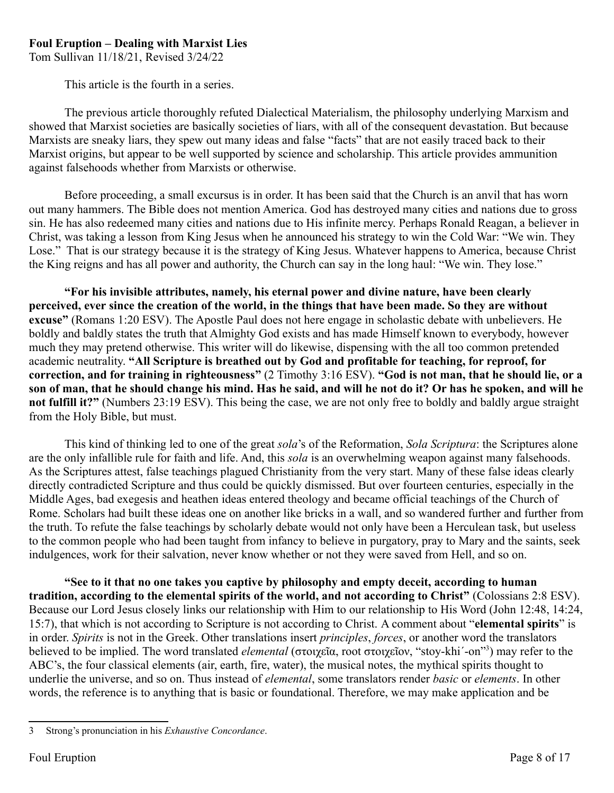<span id="page-7-0"></span>Tom Sullivan 11/18/21, Revised 3/24/22

This article is the fourth in a series.

The previous article thoroughly refuted Dialectical Materialism, the philosophy underlying Marxism and showed that Marxist societies are basically societies of liars, with all of the consequent devastation. But because Marxists are sneaky liars, they spew out many ideas and false "facts" that are not easily traced back to their Marxist origins, but appear to be well supported by science and scholarship. This article provides ammunition against falsehoods whether from Marxists or otherwise.

Before proceeding, a small excursus is in order. It has been said that the Church is an anvil that has worn out many hammers. The Bible does not mention America. God has destroyed many cities and nations due to gross sin. He has also redeemed many cities and nations due to His infinite mercy. Perhaps Ronald Reagan, a believer in Christ, was taking a lesson from King Jesus when he announced his strategy to win the Cold War: "We win. They Lose." That is our strategy because it is the strategy of King Jesus. Whatever happens to America, because Christ the King reigns and has all power and authority, the Church can say in the long haul: "We win. They lose."

**"For his invisible attributes, namely, his eternal power and divine nature, have been clearly perceived, ever since the creation of the world, in the things that have been made. So they are without excuse"** (Romans 1:20 ESV). The Apostle Paul does not here engage in scholastic debate with unbelievers. He boldly and baldly states the truth that Almighty God exists and has made Himself known to everybody, however much they may pretend otherwise. This writer will do likewise, dispensing with the all too common pretended academic neutrality. **"All Scripture is breathed out by God and profitable for teaching, for reproof, for correction, and for training in righteousness"** (2 Timothy 3:16 ESV). **"God is not man, that he should lie, or a son of man, that he should change his mind. Has he said, and will he not do it? Or has he spoken, and will he not fulfill it?"** (Numbers 23:19 ESV). This being the case, we are not only free to boldly and baldly argue straight from the Holy Bible, but must.

This kind of thinking led to one of the great *sola*'s of the Reformation, *Sola Scriptura*: the Scriptures alone are the only infallible rule for faith and life. And, this *sola* is an overwhelming weapon against many falsehoods. As the Scriptures attest, false teachings plagued Christianity from the very start. Many of these false ideas clearly directly contradicted Scripture and thus could be quickly dismissed. But over fourteen centuries, especially in the Middle Ages, bad exegesis and heathen ideas entered theology and became official teachings of the Church of Rome. Scholars had built these ideas one on another like bricks in a wall, and so wandered further and further from the truth. To refute the false teachings by scholarly debate would not only have been a Herculean task, but useless to the common people who had been taught from infancy to believe in purgatory, pray to Mary and the saints, seek indulgences, work for their salvation, never know whether or not they were saved from Hell, and so on.

**"See to it that no one takes you captive by philosophy and empty deceit, according to human tradition, according to the elemental spirits of the world, and not according to Christ"** (Colossians 2:8 ESV). Because our Lord Jesus closely links our relationship with Him to our relationship to His Word (John 12:48, 14:24, 15:7), that which is not according to Scripture is not according to Christ. A comment about "**elemental spirits**" is in order. *Spirits* is not in the Greek. Other translations insert *principles*, *forces*, or another word the translators believed to be implied. The word translated *elemental* (στοιχεῖα, root στοιχεῖον, "stoy-khi´-on"[3](#page-7-1) ) may refer to the ABC's, the four classical elements (air, earth, fire, water), the musical notes, the mythical spirits thought to underlie the universe, and so on. Thus instead of *elemental*, some translators render *basic* or *elements*. In other words, the reference is to anything that is basic or foundational. Therefore, we may make application and be

<span id="page-7-1"></span><sup>3</sup> Strong's pronunciation in his *Exhaustive Concordance*.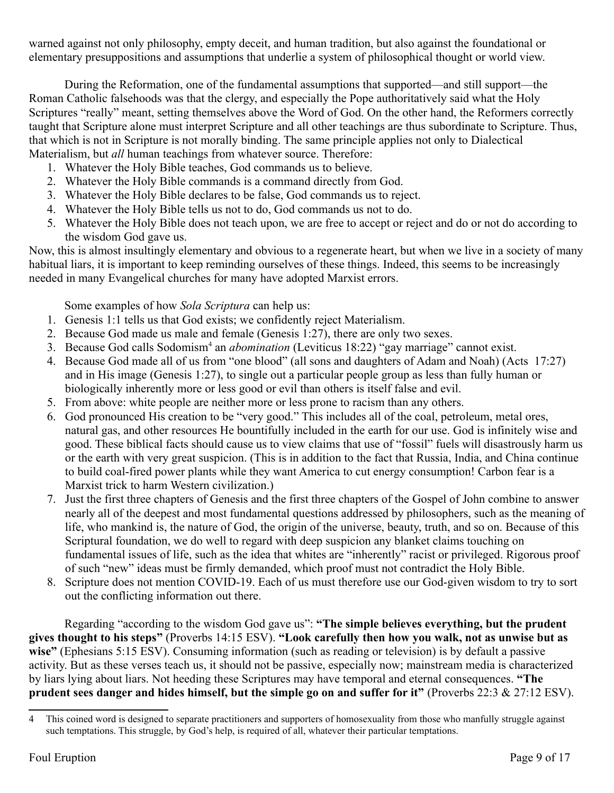warned against not only philosophy, empty deceit, and human tradition, but also against the foundational or elementary presuppositions and assumptions that underlie a system of philosophical thought or world view.

During the Reformation, one of the fundamental assumptions that supported—and still support—the Roman Catholic falsehoods was that the clergy, and especially the Pope authoritatively said what the Holy Scriptures "really" meant, setting themselves above the Word of God. On the other hand, the Reformers correctly taught that Scripture alone must interpret Scripture and all other teachings are thus subordinate to Scripture. Thus, that which is not in Scripture is not morally binding. The same principle applies not only to Dialectical Materialism, but *all* human teachings from whatever source. Therefore:

- 1. Whatever the Holy Bible teaches, God commands us to believe.
- 2. Whatever the Holy Bible commands is a command directly from God.
- 3. Whatever the Holy Bible declares to be false, God commands us to reject.
- 4. Whatever the Holy Bible tells us not to do, God commands us not to do.
- 5. Whatever the Holy Bible does not teach upon, we are free to accept or reject and do or not do according to the wisdom God gave us.

Now, this is almost insultingly elementary and obvious to a regenerate heart, but when we live in a society of many habitual liars, it is important to keep reminding ourselves of these things. Indeed, this seems to be increasingly needed in many Evangelical churches for many have adopted Marxist errors.

Some examples of how *Sola Scriptura* can help us:

- 1. Genesis 1:1 tells us that God exists; we confidently reject Materialism.
- 2. Because God made us male and female (Genesis 1:27), there are only two sexes.
- 3. Because God calls Sodomism<sup>[4](#page-8-0)</sup> an *abomination* (Leviticus 18:22) "gay marriage" cannot exist.
- 4. Because God made all of us from "one blood" (all sons and daughters of Adam and Noah) (Acts 17:27) and in His image (Genesis 1:27), to single out a particular people group as less than fully human or biologically inherently more or less good or evil than others is itself false and evil.
- 5. From above: white people are neither more or less prone to racism than any others.
- 6. God pronounced His creation to be "very good." This includes all of the coal, petroleum, metal ores, natural gas, and other resources He bountifully included in the earth for our use. God is infinitely wise and good. These biblical facts should cause us to view claims that use of "fossil" fuels will disastrously harm us or the earth with very great suspicion. (This is in addition to the fact that Russia, India, and China continue to build coal-fired power plants while they want America to cut energy consumption! Carbon fear is a Marxist trick to harm Western civilization.)
- 7. Just the first three chapters of Genesis and the first three chapters of the Gospel of John combine to answer nearly all of the deepest and most fundamental questions addressed by philosophers, such as the meaning of life, who mankind is, the nature of God, the origin of the universe, beauty, truth, and so on. Because of this Scriptural foundation, we do well to regard with deep suspicion any blanket claims touching on fundamental issues of life, such as the idea that whites are "inherently" racist or privileged. Rigorous proof of such "new" ideas must be firmly demanded, which proof must not contradict the Holy Bible.
- 8. Scripture does not mention COVID-19. Each of us must therefore use our God-given wisdom to try to sort out the conflicting information out there.

Regarding "according to the wisdom God gave us": **"The simple believes everything, but the prudent gives thought to his steps"** (Proverbs 14:15 ESV). **"Look carefully then how you walk, not as unwise but as wise"** (Ephesians 5:15 ESV). Consuming information (such as reading or television) is by default a passive activity. But as these verses teach us, it should not be passive, especially now; mainstream media is characterized by liars lying about liars. Not heeding these Scriptures may have temporal and eternal consequences. **"The prudent sees danger and hides himself, but the simple go on and suffer for it"** (Proverbs 22:3 & 27:12 ESV).

<span id="page-8-0"></span><sup>4</sup> This coined word is designed to separate practitioners and supporters of homosexuality from those who manfully struggle against such temptations. This struggle, by God's help, is required of all, whatever their particular temptations.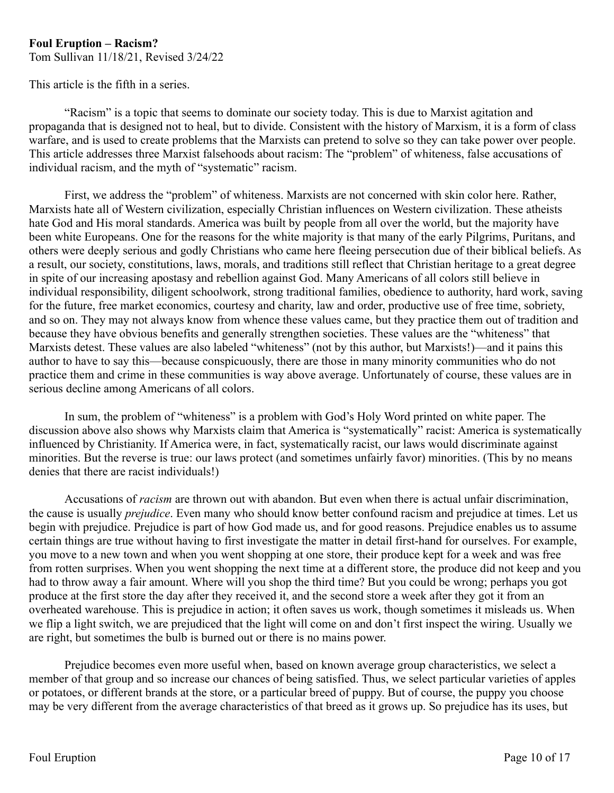# <span id="page-9-0"></span>**Foul Eruption – Racism?**

Tom Sullivan 11/18/21, Revised 3/24/22

This article is the fifth in a series.

"Racism" is a topic that seems to dominate our society today. This is due to Marxist agitation and propaganda that is designed not to heal, but to divide. Consistent with the history of Marxism, it is a form of class warfare, and is used to create problems that the Marxists can pretend to solve so they can take power over people. This article addresses three Marxist falsehoods about racism: The "problem" of whiteness, false accusations of individual racism, and the myth of "systematic" racism.

First, we address the "problem" of whiteness. Marxists are not concerned with skin color here. Rather, Marxists hate all of Western civilization, especially Christian influences on Western civilization. These atheists hate God and His moral standards. America was built by people from all over the world, but the majority have been white Europeans. One for the reasons for the white majority is that many of the early Pilgrims, Puritans, and others were deeply serious and godly Christians who came here fleeing persecution due of their biblical beliefs. As a result, our society, constitutions, laws, morals, and traditions still reflect that Christian heritage to a great degree in spite of our increasing apostasy and rebellion against God. Many Americans of all colors still believe in individual responsibility, diligent schoolwork, strong traditional families, obedience to authority, hard work, saving for the future, free market economics, courtesy and charity, law and order, productive use of free time, sobriety, and so on. They may not always know from whence these values came, but they practice them out of tradition and because they have obvious benefits and generally strengthen societies. These values are the "whiteness" that Marxists detest. These values are also labeled "whiteness" (not by this author, but Marxists!)—and it pains this author to have to say this—because conspicuously, there are those in many minority communities who do not practice them and crime in these communities is way above average. Unfortunately of course, these values are in serious decline among Americans of all colors.

In sum, the problem of "whiteness" is a problem with God's Holy Word printed on white paper. The discussion above also shows why Marxists claim that America is "systematically" racist: America is systematically influenced by Christianity. If America were, in fact, systematically racist, our laws would discriminate against minorities. But the reverse is true: our laws protect (and sometimes unfairly favor) minorities. (This by no means denies that there are racist individuals!)

Accusations of *racism* are thrown out with abandon. But even when there is actual unfair discrimination, the cause is usually *prejudice*. Even many who should know better confound racism and prejudice at times. Let us begin with prejudice. Prejudice is part of how God made us, and for good reasons. Prejudice enables us to assume certain things are true without having to first investigate the matter in detail first-hand for ourselves. For example, you move to a new town and when you went shopping at one store, their produce kept for a week and was free from rotten surprises. When you went shopping the next time at a different store, the produce did not keep and you had to throw away a fair amount. Where will you shop the third time? But you could be wrong; perhaps you got produce at the first store the day after they received it, and the second store a week after they got it from an overheated warehouse. This is prejudice in action; it often saves us work, though sometimes it misleads us. When we flip a light switch, we are prejudiced that the light will come on and don't first inspect the wiring. Usually we are right, but sometimes the bulb is burned out or there is no mains power.

Prejudice becomes even more useful when, based on known average group characteristics, we select a member of that group and so increase our chances of being satisfied. Thus, we select particular varieties of apples or potatoes, or different brands at the store, or a particular breed of puppy. But of course, the puppy you choose may be very different from the average characteristics of that breed as it grows up. So prejudice has its uses, but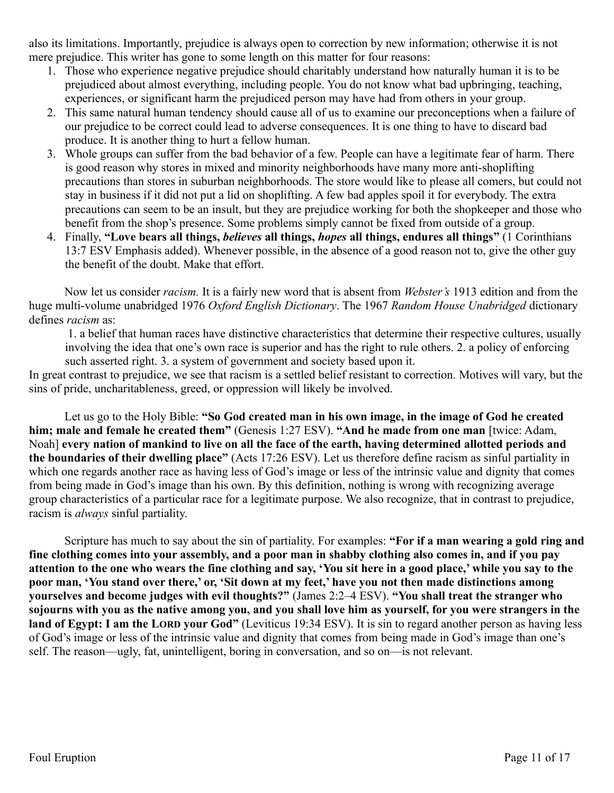also its limitations. Importantly, prejudice is always open to correction by new information; otherwise it is not mere prejudice. This writer has gone to some length on this matter for four reasons:

- 1. Those who experience negative prejudice should charitably understand how naturally human it is to be prejudiced about almost everything, including people. You do not know what bad upbringing, teaching, experiences, or significant harm the prejudiced person may have had from others in your group.
- 2. This same natural human tendency should cause all of us to examine our preconceptions when a failure of our prejudice to be correct could lead to adverse consequences. It is one thing to have to discard bad produce. It is another thing to hurt a fellow human.
- 3. Whole groups can suffer from the bad behavior of a few. People can have a legitimate fear of harm. There is good reason why stores in mixed and minority neighborhoods have many more anti-shoplifting precautions than stores in suburban neighborhoods. The store would like to please all comers, but could not stay in business if it did not put a lid on shoplifting. A few bad apples spoil it for everybody. The extra precautions can seem to be an insult, but they are prejudice working for both the shopkeeper and those who benefit from the shop's presence. Some problems simply cannot be fixed from outside of a group.
- 4. Finally, **"Love bears all things,** *believes* **all things,** *hopes* **all things, endures all things"** (1 Corinthians 13:7 ESV Emphasis added). Whenever possible, in the absence of a good reason not to, give the other guy the benefit of the doubt. Make that effort.

Now let us consider *racism.* It is a fairly new word that is absent from *Webster's* 1913 edition and from the huge multi-volume unabridged 1976 *Oxford English Dictionary*. The 1967 *Random House Unabridged* dictionary defines *racism* as:

1. a belief that human races have distinctive characteristics that determine their respective cultures, usually involving the idea that one's own race is superior and has the right to rule others. 2. a policy of enforcing such asserted right. 3. a system of government and society based upon it.

In great contrast to prejudice, we see that racism is a settled belief resistant to correction. Motives will vary, but the sins of pride, uncharitableness, greed, or oppression will likely be involved.

Let us go to the Holy Bible: **"So God created man in his own image, in the image of God he created him; male and female he created them"** (Genesis 1:27 ESV). **"And he made from one man** [twice: Adam, Noah] **every nation of mankind to live on all the face of the earth, having determined allotted periods and the boundaries of their dwelling place"** (Acts 17:26 ESV). Let us therefore define racism as sinful partiality in which one regards another race as having less of God's image or less of the intrinsic value and dignity that comes from being made in God's image than his own. By this definition, nothing is wrong with recognizing average group characteristics of a particular race for a legitimate purpose. We also recognize, that in contrast to prejudice, racism is *always* sinful partiality.

Scripture has much to say about the sin of partiality. For examples: **"For if a man wearing a gold ring and fine clothing comes into your assembly, and a poor man in shabby clothing also comes in, and if you pay attention to the one who wears the fine clothing and say, 'You sit here in a good place,' while you say to the poor man, 'You stand over there,' or, 'Sit down at my feet,' have you not then made distinctions among yourselves and become judges with evil thoughts?"** (James 2:2–4 ESV). **"You shall treat the stranger who sojourns with you as the native among you, and you shall love him as yourself, for you were strangers in the land of Egypt: I am the LORD your God"** (Leviticus 19:34 ESV). It is sin to regard another person as having less of God's image or less of the intrinsic value and dignity that comes from being made in God's image than one's self. The reason—ugly, fat, unintelligent, boring in conversation, and so on—is not relevant.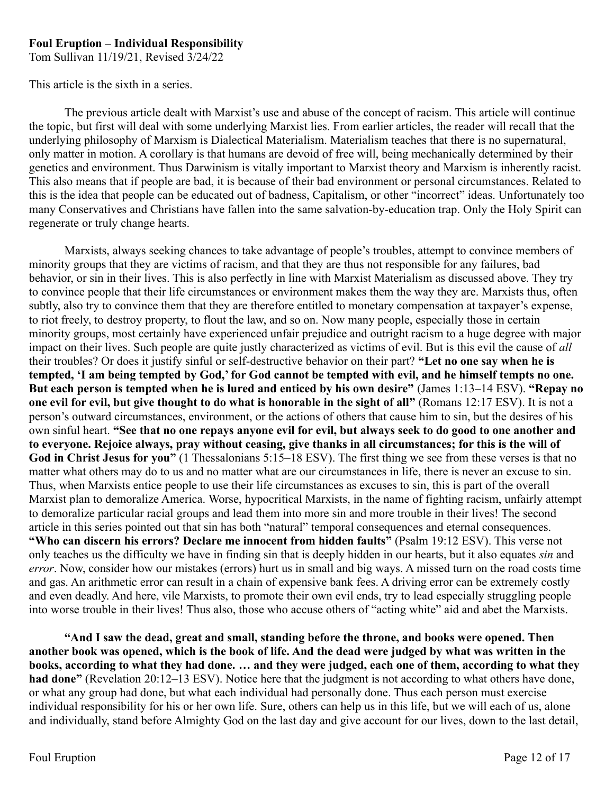### <span id="page-11-0"></span>**Foul Eruption – Individual Responsibility**

Tom Sullivan 11/19/21, Revised 3/24/22

This article is the sixth in a series.

The previous article dealt with Marxist's use and abuse of the concept of racism. This article will continue the topic, but first will deal with some underlying Marxist lies. From earlier articles, the reader will recall that the underlying philosophy of Marxism is Dialectical Materialism. Materialism teaches that there is no supernatural, only matter in motion. A corollary is that humans are devoid of free will, being mechanically determined by their genetics and environment. Thus Darwinism is vitally important to Marxist theory and Marxism is inherently racist. This also means that if people are bad, it is because of their bad environment or personal circumstances. Related to this is the idea that people can be educated out of badness, Capitalism, or other "incorrect" ideas. Unfortunately too many Conservatives and Christians have fallen into the same salvation-by-education trap. Only the Holy Spirit can regenerate or truly change hearts.

Marxists, always seeking chances to take advantage of people's troubles, attempt to convince members of minority groups that they are victims of racism, and that they are thus not responsible for any failures, bad behavior, or sin in their lives. This is also perfectly in line with Marxist Materialism as discussed above. They try to convince people that their life circumstances or environment makes them the way they are. Marxists thus, often subtly, also try to convince them that they are therefore entitled to monetary compensation at taxpayer's expense, to riot freely, to destroy property, to flout the law, and so on. Now many people, especially those in certain minority groups, most certainly have experienced unfair prejudice and outright racism to a huge degree with major impact on their lives. Such people are quite justly characterized as victims of evil. But is this evil the cause of *all* their troubles? Or does it justify sinful or self-destructive behavior on their part? **"Let no one say when he is tempted, 'I am being tempted by God,' for God cannot be tempted with evil, and he himself tempts no one. But each person is tempted when he is lured and enticed by his own desire"** (James 1:13–14 ESV). **"Repay no one evil for evil, but give thought to do what is honorable in the sight of all"** (Romans 12:17 ESV). It is not a person's outward circumstances, environment, or the actions of others that cause him to sin, but the desires of his own sinful heart. **"See that no one repays anyone evil for evil, but always seek to do good to one another and to everyone. Rejoice always, pray without ceasing, give thanks in all circumstances; for this is the will of God in Christ Jesus for you"** (1 Thessalonians 5:15–18 ESV). The first thing we see from these verses is that no matter what others may do to us and no matter what are our circumstances in life, there is never an excuse to sin. Thus, when Marxists entice people to use their life circumstances as excuses to sin, this is part of the overall Marxist plan to demoralize America. Worse, hypocritical Marxists, in the name of fighting racism, unfairly attempt to demoralize particular racial groups and lead them into more sin and more trouble in their lives! The second article in this series pointed out that sin has both "natural" temporal consequences and eternal consequences. **"Who can discern his errors? Declare me innocent from hidden faults"** (Psalm 19:12 ESV). This verse not only teaches us the difficulty we have in finding sin that is deeply hidden in our hearts, but it also equates *sin* and *error*. Now, consider how our mistakes (errors) hurt us in small and big ways. A missed turn on the road costs time and gas. An arithmetic error can result in a chain of expensive bank fees. A driving error can be extremely costly and even deadly. And here, vile Marxists, to promote their own evil ends, try to lead especially struggling people into worse trouble in their lives! Thus also, those who accuse others of "acting white" aid and abet the Marxists.

**"And I saw the dead, great and small, standing before the throne, and books were opened. Then another book was opened, which is the book of life. And the dead were judged by what was written in the books, according to what they had done. … and they were judged, each one of them, according to what they had done"** (Revelation 20:12–13 ESV). Notice here that the judgment is not according to what others have done, or what any group had done, but what each individual had personally done. Thus each person must exercise individual responsibility for his or her own life. Sure, others can help us in this life, but we will each of us, alone and individually, stand before Almighty God on the last day and give account for our lives, down to the last detail,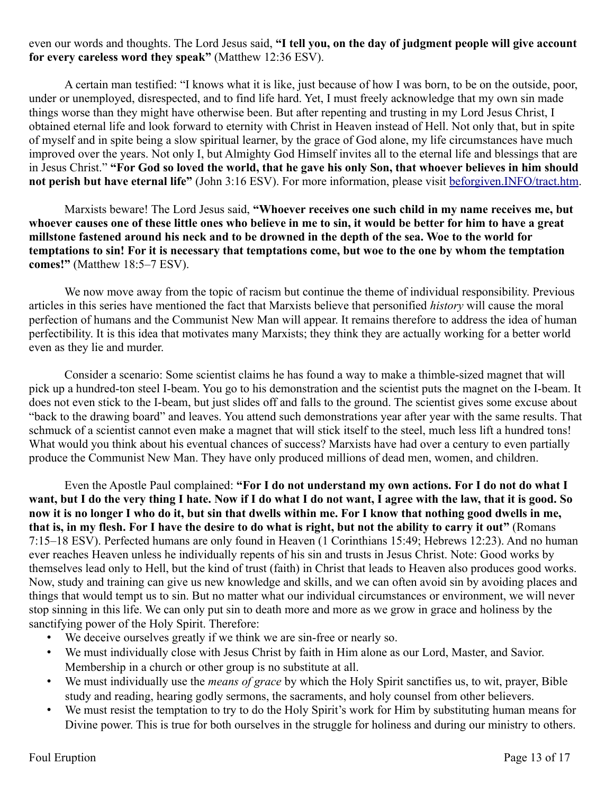#### even our words and thoughts. The Lord Jesus said, **"I tell you, on the day of judgment people will give account for every careless word they speak"** (Matthew 12:36 ESV).

A certain man testified: "I knows what it is like, just because of how I was born, to be on the outside, poor, under or unemployed, disrespected, and to find life hard. Yet, I must freely acknowledge that my own sin made things worse than they might have otherwise been. But after repenting and trusting in my Lord Jesus Christ, I obtained eternal life and look forward to eternity with Christ in Heaven instead of Hell. Not only that, but in spite of myself and in spite being a slow spiritual learner, by the grace of God alone, my life circumstances have much improved over the years. Not only I, but Almighty God Himself invites all to the eternal life and blessings that are in Jesus Christ." **"For God so loved the world, that he gave his only Son, that whoever believes in him should not perish but have eternal life"** (John 3:16 ESV). For more information, please visit [beforgiven.INFO/tract.htm](https://beforgiven.info/tract.htm).

Marxists beware! The Lord Jesus said, **"Whoever receives one such child in my name receives me, but whoever causes one of these little ones who believe in me to sin, it would be better for him to have a great millstone fastened around his neck and to be drowned in the depth of the sea. Woe to the world for temptations to sin! For it is necessary that temptations come, but woe to the one by whom the temptation comes!"** (Matthew 18:5–7 ESV).

We now move away from the topic of racism but continue the theme of individual responsibility. Previous articles in this series have mentioned the fact that Marxists believe that personified *history* will cause the moral perfection of humans and the Communist New Man will appear. It remains therefore to address the idea of human perfectibility. It is this idea that motivates many Marxists; they think they are actually working for a better world even as they lie and murder.

Consider a scenario: Some scientist claims he has found a way to make a thimble-sized magnet that will pick up a hundred-ton steel I-beam. You go to his demonstration and the scientist puts the magnet on the I-beam. It does not even stick to the I-beam, but just slides off and falls to the ground. The scientist gives some excuse about "back to the drawing board" and leaves. You attend such demonstrations year after year with the same results. That schmuck of a scientist cannot even make a magnet that will stick itself to the steel, much less lift a hundred tons! What would you think about his eventual chances of success? Marxists have had over a century to even partially produce the Communist New Man. They have only produced millions of dead men, women, and children.

Even the Apostle Paul complained: **"For I do not understand my own actions. For I do not do what I want, but I do the very thing I hate. Now if I do what I do not want, I agree with the law, that it is good. So now it is no longer I who do it, but sin that dwells within me. For I know that nothing good dwells in me, that is, in my flesh. For I have the desire to do what is right, but not the ability to carry it out"** (Romans 7:15–18 ESV). Perfected humans are only found in Heaven (1 Corinthians 15:49; Hebrews 12:23). And no human ever reaches Heaven unless he individually repents of his sin and trusts in Jesus Christ. Note: Good works by themselves lead only to Hell, but the kind of trust (faith) in Christ that leads to Heaven also produces good works. Now, study and training can give us new knowledge and skills, and we can often avoid sin by avoiding places and things that would tempt us to sin. But no matter what our individual circumstances or environment, we will never stop sinning in this life. We can only put sin to death more and more as we grow in grace and holiness by the sanctifying power of the Holy Spirit. Therefore:

- We deceive ourselves greatly if we think we are sin-free or nearly so.
- We must individually close with Jesus Christ by faith in Him alone as our Lord, Master, and Savior. Membership in a church or other group is no substitute at all.
- We must individually use the *means of grace* by which the Holy Spirit sanctifies us, to wit, prayer, Bible study and reading, hearing godly sermons, the sacraments, and holy counsel from other believers.
- We must resist the temptation to try to do the Holy Spirit's work for Him by substituting human means for Divine power. This is true for both ourselves in the struggle for holiness and during our ministry to others.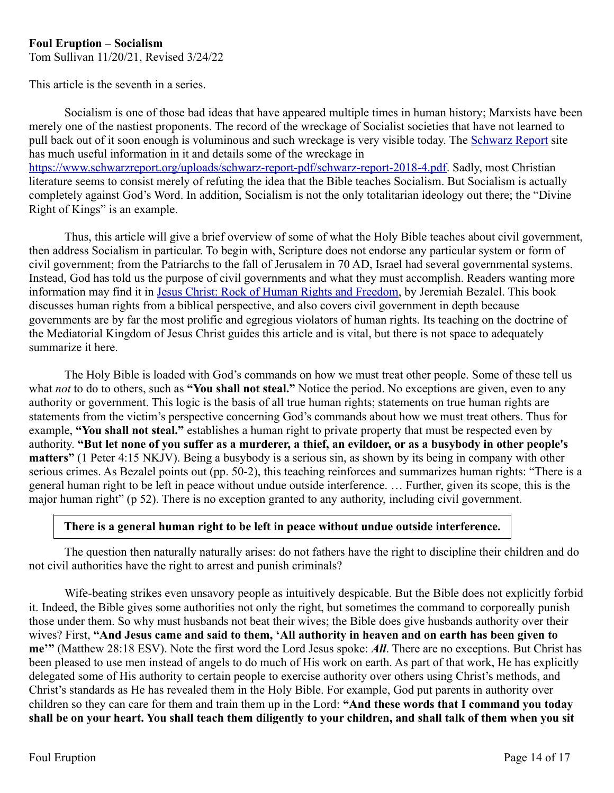# <span id="page-13-0"></span>**Foul Eruption – Socialism**

Tom Sullivan 11/20/21, Revised 3/24/22

This article is the seventh in a series.

Socialism is one of those bad ideas that have appeared multiple times in human history; Marxists have been merely one of the nastiest proponents. The record of the wreckage of Socialist societies that have not learned to pull back out of it soon enough is voluminous and such wreckage is very visible today. The [Schwarz Report](https://www.schwarzreport.org/) site has much useful information in it and details some of the wreckage in <https://www.schwarzreport.org/uploads/schwarz-report-pdf/schwarz-report-2018-4.pdf>. Sadly, most Christian literature seems to consist merely of refuting the idea that the Bible teaches Socialism. But Socialism is actually completely against God's Word. In addition, Socialism is not the only totalitarian ideology out there; the "Divine Right of Kings" is an example.

Thus, this article will give a brief overview of some of what the Holy Bible teaches about civil government, then address Socialism in particular. To begin with, Scripture does not endorse any particular system or form of civil government; from the Patriarchs to the fall of Jerusalem in 70 AD, Israel had several governmental systems. Instead, God has told us the purpose of civil governments and what they must accomplish. Readers wanting more information may find it in [Jesus Christ: Rock of Human Rights and Freedom](https://beforgiven.info/jcrohraf.pdf), by Jeremiah Bezalel. This book discusses human rights from a biblical perspective, and also covers civil government in depth because governments are by far the most prolific and egregious violators of human rights. Its teaching on the doctrine of the Mediatorial Kingdom of Jesus Christ guides this article and is vital, but there is not space to adequately summarize it here.

The Holy Bible is loaded with God's commands on how we must treat other people. Some of these tell us what *not* to do to others, such as "You shall not steal." Notice the period. No exceptions are given, even to any authority or government. This logic is the basis of all true human rights; statements on true human rights are statements from the victim's perspective concerning God's commands about how we must treat others. Thus for example, **"You shall not steal."** establishes a human right to private property that must be respected even by authority. **"But let none of you suffer as a murderer, a thief, an evildoer, or as a busybody in other people's matters"** (1 Peter 4:15 NKJV). Being a busybody is a serious sin, as shown by its being in company with other serious crimes. As Bezalel points out (pp. 50-2), this teaching reinforces and summarizes human rights: "There is a general human right to be left in peace without undue outside interference. … Further, given its scope, this is the major human right" (p 52). There is no exception granted to any authority, including civil government.

#### **There is a general human right to be left in peace without undue outside interference.**

The question then naturally naturally arises: do not fathers have the right to discipline their children and do not civil authorities have the right to arrest and punish criminals?

Wife-beating strikes even unsavory people as intuitively despicable. But the Bible does not explicitly forbid it. Indeed, the Bible gives some authorities not only the right, but sometimes the command to corporeally punish those under them. So why must husbands not beat their wives; the Bible does give husbands authority over their wives? First, **"And Jesus came and said to them, 'All authority in heaven and on earth has been given to me'"** (Matthew 28:18 ESV). Note the first word the Lord Jesus spoke: *All*. There are no exceptions. But Christ has been pleased to use men instead of angels to do much of His work on earth. As part of that work, He has explicitly delegated some of His authority to certain people to exercise authority over others using Christ's methods, and Christ's standards as He has revealed them in the Holy Bible. For example, God put parents in authority over children so they can care for them and train them up in the Lord: **"And these words that I command you today shall be on your heart. You shall teach them diligently to your children, and shall talk of them when you sit**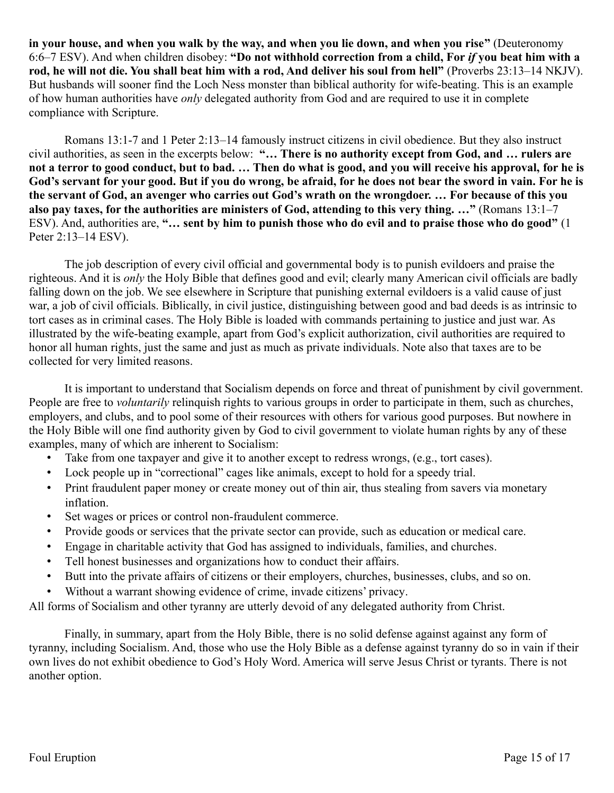**in your house, and when you walk by the way, and when you lie down, and when you rise"** (Deuteronomy 6:6–7 ESV). And when children disobey: **"Do not withhold correction from a child, For** *if* **you beat him with a rod, he will not die. You shall beat him with a rod, And deliver his soul from hell"** (Proverbs 23:13–14 NKJV). But husbands will sooner find the Loch Ness monster than biblical authority for wife-beating. This is an example of how human authorities have *only* delegated authority from God and are required to use it in complete compliance with Scripture.

Romans 13:1-7 and 1 Peter 2:13–14 famously instruct citizens in civil obedience. But they also instruct civil authorities, as seen in the excerpts below: **"… There is no authority except from God, and … rulers are not a terror to good conduct, but to bad. … Then do what is good, and you will receive his approval, for he is God's servant for your good. But if you do wrong, be afraid, for he does not bear the sword in vain. For he is the servant of God, an avenger who carries out God's wrath on the wrongdoer. … For because of this you also pay taxes, for the authorities are ministers of God, attending to this very thing. …"** (Romans 13:1–7 ESV). And, authorities are, **"… sent by him to punish those who do evil and to praise those who do good"** (1 Peter 2:13–14 ESV).

The job description of every civil official and governmental body is to punish evildoers and praise the righteous. And it is *only* the Holy Bible that defines good and evil; clearly many American civil officials are badly falling down on the job. We see elsewhere in Scripture that punishing external evildoers is a valid cause of just war, a job of civil officials. Biblically, in civil justice, distinguishing between good and bad deeds is as intrinsic to tort cases as in criminal cases. The Holy Bible is loaded with commands pertaining to justice and just war. As illustrated by the wife-beating example, apart from God's explicit authorization, civil authorities are required to honor all human rights, just the same and just as much as private individuals. Note also that taxes are to be collected for very limited reasons.

It is important to understand that Socialism depends on force and threat of punishment by civil government. People are free to *voluntarily* relinquish rights to various groups in order to participate in them, such as churches, employers, and clubs, and to pool some of their resources with others for various good purposes. But nowhere in the Holy Bible will one find authority given by God to civil government to violate human rights by any of these examples, many of which are inherent to Socialism:

- Take from one taxpayer and give it to another except to redress wrongs, (e.g., tort cases).
- Lock people up in "correctional" cages like animals, except to hold for a speedy trial.
- Print fraudulent paper money or create money out of thin air, thus stealing from savers via monetary inflation.
- Set wages or prices or control non-fraudulent commerce.
- Provide goods or services that the private sector can provide, such as education or medical care.
- Engage in charitable activity that God has assigned to individuals, families, and churches.
- Tell honest businesses and organizations how to conduct their affairs.
- Butt into the private affairs of citizens or their employers, churches, businesses, clubs, and so on.
- Without a warrant showing evidence of crime, invade citizens' privacy.

All forms of Socialism and other tyranny are utterly devoid of any delegated authority from Christ.

Finally, in summary, apart from the Holy Bible, there is no solid defense against against any form of tyranny, including Socialism. And, those who use the Holy Bible as a defense against tyranny do so in vain if their own lives do not exhibit obedience to God's Holy Word. America will serve Jesus Christ or tyrants. There is not another option.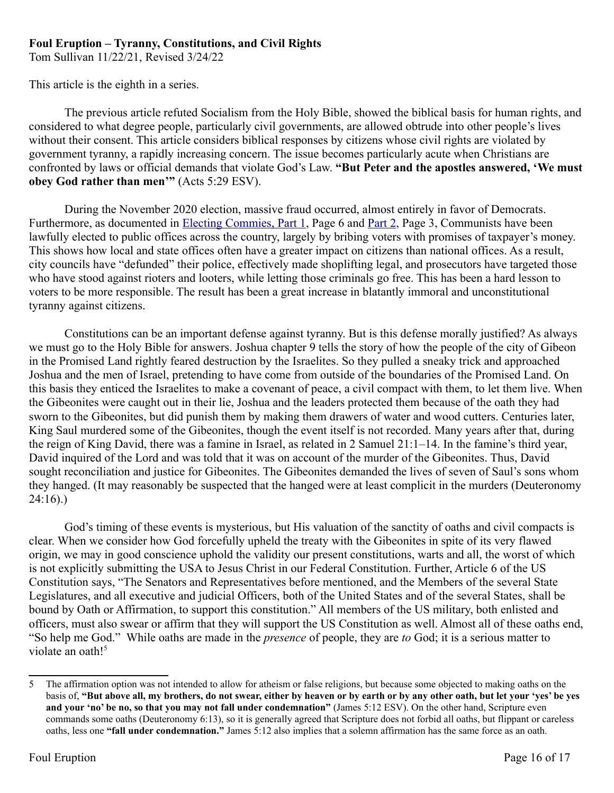# <span id="page-15-0"></span>**Foul Eruption – Tyranny, Constitutions, and Civil Rights**

Tom Sullivan 11/22/21, Revised 3/24/22

This article is the eighth in a series.

The previous article refuted Socialism from the Holy Bible, showed the biblical basis for human rights, and considered to what degree people, particularly civil governments, are allowed obtrude into other people's lives without their consent. This article considers biblical responses by citizens whose civil rights are violated by government tyranny, a rapidly increasing concern. The issue becomes particularly acute when Christians are confronted by laws or official demands that violate God's Law. **"But Peter and the apostles answered, 'We must obey God rather than men'"** (Acts 5:29 ESV).

During the November 2020 election, massive fraud occurred, almost entirely in favor of Democrats. Furthermore, as documented in **Electing Commies**, Part 1, Page 6 and <u>[Part 2](https://www.schwarzreport.org/uploads/schwarz-report-pdf/schwarz-report-2020-5.pdf)</u>, Page 3, Communists have been lawfully elected to public offices across the country, largely by bribing voters with promises of taxpayer's money. This shows how local and state offices often have a greater impact on citizens than national offices. As a result, city councils have "defunded" their police, effectively made shoplifting legal, and prosecutors have targeted those who have stood against rioters and looters, while letting those criminals go free. This has been a hard lesson to voters to be more responsible. The result has been a great increase in blatantly immoral and unconstitutional tyranny against citizens.

Constitutions can be an important defense against tyranny. But is this defense morally justified? As always we must go to the Holy Bible for answers. Joshua chapter 9 tells the story of how the people of the city of Gibeon in the Promised Land rightly feared destruction by the Israelites. So they pulled a sneaky trick and approached Joshua and the men of Israel, pretending to have come from outside of the boundaries of the Promised Land. On this basis they enticed the Israelites to make a covenant of peace, a civil compact with them, to let them live. When the Gibeonites were caught out in their lie, Joshua and the leaders protected them because of the oath they had sworn to the Gibeonites, but did punish them by making them drawers of water and wood cutters. Centuries later, King Saul murdered some of the Gibeonites, though the event itself is not recorded. Many years after that, during the reign of King David, there was a famine in Israel, as related in 2 Samuel 21:1–14. In the famine's third year, David inquired of the Lord and was told that it was on account of the murder of the Gibeonites. Thus, David sought reconciliation and justice for Gibeonites. The Gibeonites demanded the lives of seven of Saul's sons whom they hanged. (It may reasonably be suspected that the hanged were at least complicit in the murders (Deuteronomy  $24:16)$ .

God's timing of these events is mysterious, but His valuation of the sanctity of oaths and civil compacts is clear. When we consider how God forcefully upheld the treaty with the Gibeonites in spite of its very flawed origin, we may in good conscience uphold the validity our present constitutions, warts and all, the worst of which is not explicitly submitting the USA to Jesus Christ in our Federal Constitution. Further, Article 6 of the US Constitution says, "The Senators and Representatives before mentioned, and the Members of the several State Legislatures, and all executive and judicial Officers, both of the United States and of the several States, shall be bound by Oath or Affirmation, to support this constitution." All members of the US military, both enlisted and officers, must also swear or affirm that they will support the US Constitution as well. Almost all of these oaths end, "So help me God." While oaths are made in the *presence* of people, they are *to* God; it is a serious matter to violate an oath!<sup>[5](#page-15-1)</sup>

<span id="page-15-1"></span><sup>5</sup> The affirmation option was not intended to allow for atheism or false religions, but because some objected to making oaths on the basis of, **"But above all, my brothers, do not swear, either by heaven or by earth or by any other oath, but let your 'yes' be yes and your 'no' be no, so that you may not fall under condemnation"** (James 5:12 ESV). On the other hand, Scripture even commands some oaths (Deuteronomy 6:13), so it is generally agreed that Scripture does not forbid all oaths, but flippant or careless oaths, less one **"fall under condemnation."** James 5:12 also implies that a solemn affirmation has the same force as an oath.